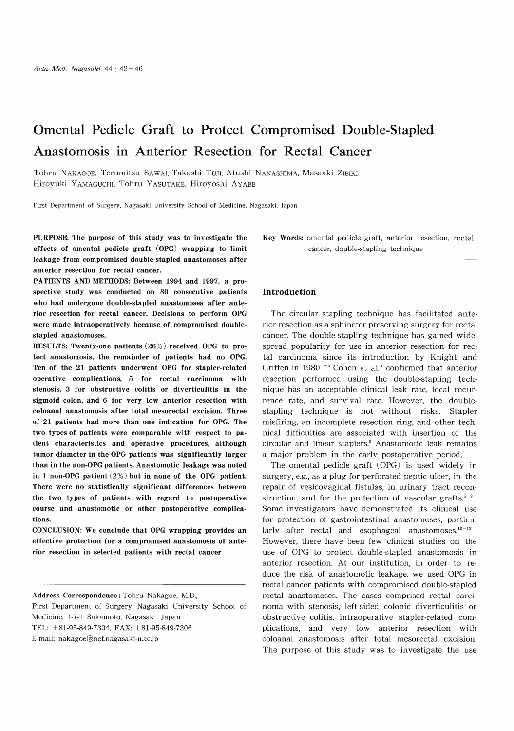# Omental Pedicle Graft to Protect Compromised Double-Stapled Anastomosis in Anterior Resection for Rectal Cancer

Tohru NAKAGOE, Terumitsu SAWAI, Takashi TUJI, Atushi NANASHIMA, Masaaki ZIBIKI, Hiroyuki YAMAGUCHI, Tohru YASUTAKE, Hiroyoshi AYABE

First Department of Surgery, Nagasaki University School of Medicine, Nagasaki, Japan

PURPOSE: The purpose of this study was to investigate the effects of omental pedicle graft (OPG) wrapping to limit leakage from compromised double-stapled anastomoses after anterior resection for rectal cancer.

PATIENTS AND METHODS: Between 1994 and 1997, a prospective study was conducted on 80 consecutive patients who had undergone double-stapled anastomoses after anterior resection for rectal cancer. Decisions to perform OPG were made intraoperatively because of compromised doublestapled anastomoses.

RESULTS: Twenty-one patients (26%) received OPG to protect anastomosis, the remainder of patients had no OPG. Ten of the 21 patients underwent OPG for stapler-related operative complications, 5 for rectal carcinoma with stenosis, 3 for obstructive colitis or diverticulitis in the sigmoid colon, and 6 for very low anterior resection with coloanal anastomosis after total mesorectal excision. Three of 21 patients had more than one indication for OPG. The two types of patients were comparable with respect to patient characteristics and operative procedures, although tumor diameter in the OPG patients was significantly larger than in the non-OPG patients. Anastomotic leakage was noted in 1 non-OPG patient (2%) but in none of the OPG patient. There were no statistically significant differences between the two types of patients with regard to postoperative course and anastomotic or other postoperative complications.

CONCLUSION: We conclude that OPG wrapping provides an effective protection for a compromised anastomosis of anterior resection in selected patients with rectal cancer

Key Words: omental pedicle graft, anterior resection, rectal cancer, double-stapling technique

### Introduction

The circular stapling technique has facilitated anterior resection as a sphincter preserving surgery for rectal cancer. The double-stapling technique has gained widespread popularity for use in anterior resection for rectal carcinoma since its introduction by Knight and Griffen in 1980.'-3 Cohen et al.' confirmed that anterior resection performed using the double-stapling technique has an acceptable clinical leak rate, local recurrence rate, and survival rate. However, the doublestapling technique is not without risks. Stapler misfiring, an incomplete resection ring, and other technical difficulties are associated with insertion of the circular and linear staplers.' Anastomotic leak remains a major problem in the early postoperative period.

The omental pedicle graft (OPG) is used widely in surgery, e.g., as a plug for perforated peptic ulcer, in the repair of vesicovaginal fistulas, in urinary tract reconstruction, and for the protection of vascular grafts. $6-9$ Some investigators have demonstrated its clinical use for protection of gastrointestinal anastomoses, particularly after rectal and esophageal anastomoses. $10-12$ However, there have been few clinical studies on the use of OPG to protect double-stapled anastomosis in anterior resection. At our institution, in order to reduce the risk of anastomotic leakage, we used OPG in rectal cancer patients with compromised double-stapled rectal anastomoses. The cases comprised rectal carcinoma with stenosis, left-sided colonic diverticulitis or obstructive colitis, intraoperative stapler-related complications, and very low anterior resection with coloanal anastomosis after total mesorectal excision. The purpose of this study was to investigate the use

Address Correspondence : Tohru Nakagoe, M.D., First Department of Surgery, Nagasaki University School of Medicine, 1-7-1 Sakamoto, Nagasaki, Japan TEL: +81-95-849-7304, FAX: +81-95-849-7306 E-mail: nakagoe@net.nagasaki-u.ac.jp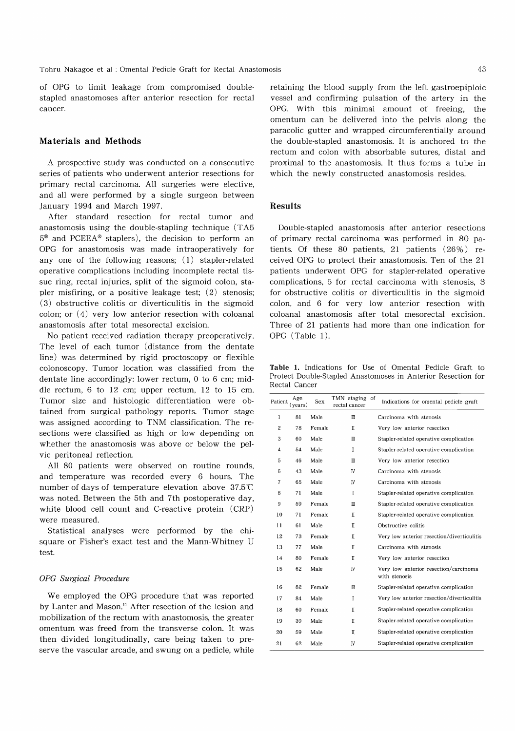Tohru Nakagoe et al : Omental Pedicle Graft for Rectal Anastomosis

of OPG to limit leakage from compromised doublestapled anastomoses after anterior resection for rectal cancer.

#### Materials and Methods

A prospective study was conducted on a consecutive series of patients who underwent anterior resections for primary rectal carcinoma. All surgeries were elective, and all were performed by a single surgeon between January 1994 and March 1997.

After standard resection for rectal tumor and anastomosis using the double-stapling technique (TA5 5® and PCEEA® staplers), the decision to perform an OPG for anastomosis was made intraoperatively for any one of the following reasons; (1) stapler-related operative complications including incomplete rectal tissue ring, rectal injuries, split of the sigmoid colon, stapler misfiring, or a positive leakage test; (2) stenosis; (3) obstructive colitis or diverticulitis in the sigmoid colon; or (4) very low anterior resection with coloanal anastomosis after total mesorectal excision.

No patient received radiation therapy preoperatively. The level of each tumor (distance from the dentate line) was determined by rigid proctoscopy or flexible colonoscopy. Tumor location was classified from the dentate line accordingly: lower rectum, 0 to 6 cm; middle rectum, 6 to 12 cm; upper rectum, 12 to 15 cm. Tumor size and histologic differentiation were obtained from surgical pathology reports. Tumor stage was assigned according to TNM classification. The resections were classified as high or low depending on whether the anastomosis was above or below the pelvic peritoneal reflection.

All 80 patients were observed on routine rounds, and temperature was recorded every 6 hours. The number of days of temperature elevation above  $37.5^{\circ}$ C was noted. Between the 5th and 7th postoperative day, white blood cell count and C-reactive protein (CRP) were measured.

Statistical analyses were performed by the chisquare or Fisher's exact test and the Mann-Whitney U test.

# OPG Surgical Procedure

We employed the OPG procedure that was reported by Lanter and Mason." After resection of the lesion and mobilization of the rectum with anastomosis, the greater omentum was freed from the transverse colon. It was then divided longitudinally, care being taken to preserve the vascular arcade, and swung on a pedicle, while retaining the blood supply from the left gastroepiploic vessel and confirming pulsation of the artery in the OPG. With this minimal amount of freeing, the omentum can be delivered into the pelvis along the paracolic gutter and wrapped circumferentially around the double-stapled anastomosis. It is anchored to the rectum and colon with absorbable sutures, distal and proximal to the anastomosis. It thus forms a tube in which the newly constructed anastomosis resides.

# Results

Double-stapled anastomosis after anterior resections of primary rectal carcinoma was performed in 80 patients. Of these 80 patients, 21 patients (26%) received OPG to protect their anastomosis. Ten of the 21 patients underwent OPG for stapler-related operative complications, 5 for rectal carcinoma with stenosis, 3 for obstructive colitis or diverticulitis in the sigmoid colon, and 6 for very low anterior resection with coloanal anastomosis after total mesorectal excision. Three of 21 patients had more than one indication for OPG (Table 1).

Table 1. Indications for Use of Omental Pedicle Graft to Protect Double-Stapled Anastomoses in Anterior Resection for Rectal Cancer

| Patient        | Age<br>(vears) | <b>Sex</b> | TMN staging<br>rectal cancer | of | Indications for omental pedicle graft                  |
|----------------|----------------|------------|------------------------------|----|--------------------------------------------------------|
| 1              | 81             | Male       | $\mathbb{I}$                 |    | Carcinoma with stenosis                                |
| $\overline{c}$ | 78             | Female     | Π                            |    | Very low anterior resection                            |
| 3              | 60             | Male       | Ш                            |    | Stapler-related operative complication                 |
| 4              | 54             | Male       | T                            |    | Stapler-related operative complication                 |
| 5              | 46             | Male       | Ш                            |    | Very low anterior resection                            |
| 6              | 43             | Male       | IV                           |    | Carcinoma with stenosis                                |
| 7              | 65             | Male       | IV                           |    | Carcinoma with stenosis                                |
| 8              | 71             | Male       | T                            |    | Stapler-related operative complication                 |
| 9              | 59             | Female     | $\mathbf{u}$                 |    | Stapler-related operative complication                 |
| 10             | 71             | Female     | Π                            |    | Stapler-related operative complication                 |
| 11             | 61             | Male       | π                            |    | Obstructive colitis                                    |
| 12             | 73             | Female     | $\mathbb I$                  |    | Very low anterior resection/diverticulitis             |
| 13             | 77             | Male       | П                            |    | Carcinoma with stenosis                                |
| 14             | 80             | Female     | Π                            |    | Very low anterior resection                            |
| 15             | 62             | Male       | IV                           |    | Very low anterior resection/carcinoma<br>with stenosis |
| 16             | 82             | Female     | m                            |    | Stapler-related operative complication                 |
| 17             | 84             | Male       | I                            |    | Very low anterior resection/diverticulitis             |
| 18             | 60             | Female     | Π                            |    | Stapler-related operative complication                 |
| 19             | 39             | Male       | Π                            |    | Stapler-related operative complication                 |
| 20             | 59             | Male       | Π                            |    | Stapler-related operative complication                 |
| 21             | 62             | Male       | IV                           |    | Stapler-related operative complication                 |
|                |                |            |                              |    |                                                        |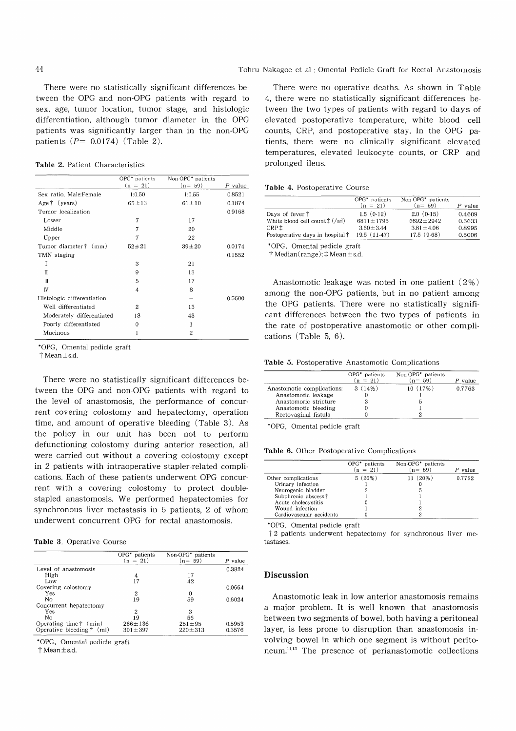There were no statistically significant differences between the OPG and non-OPG patients with regard to sex, age, tumor location, tumor stage, and histologic differentiation, although tumor diameter in the OPG patients was significantly larger than in the non-OPG patients  $(P= 0.0174)$  (Table 2).

Table 2. Patient Characteristics

|                            | OPG* patients | Non-OPG <sup>*</sup> patients |           |
|----------------------------|---------------|-------------------------------|-----------|
|                            | $(n = 21)$    | $(n = 59)$                    | $P$ value |
| Sex ratio, Male:Female     | 1:0.50        | 1:0.55                        | 0.8521    |
| Age $\dagger$ (years)      | $65 \pm 13$   | $61 \pm 10$                   | 0.1874    |
| Tumor localization         |               |                               | 0.9168    |
| Lower                      | 7             | 17                            |           |
| Middle                     | 7             | 20                            |           |
| Upper                      | 7             | 22                            |           |
| Tumor diameter † (mm)      | $52 \pm 21$   | $39 \pm 20$                   | 0.0174    |
| TMN staging                |               |                               | 0.1552    |
| T                          | 3             | 21                            |           |
| Π                          | 9             | 13                            |           |
| Ш                          | 5             | 17                            |           |
| IV                         | 4             | 8                             |           |
| Histologic differentiation |               |                               | 0.5600    |
| Well differentiated        | 2             | 13                            |           |
| Moderately differentiated  | 18            | 43                            |           |
| Poorly differentiated      | $\Omega$      | 1                             |           |
| Mucinous                   | 1             | 2                             |           |

\*OPG , Omental pedicle graft

 $\dagger$  Mean  $+$  s.d.

There were no statistically significant differences between the OPG and non-OPG patients with regard to the level of anastomosis, the performance of concurrent covering colostomy and hepatectomy, operation time, and amount of operative bleeding (Table 3). As the policy in our unit has been not to perform defunctioning colostomy during anterior resection, all were carried out without a covering colostomy except in 2 patients with intraoperative stapler-related complications. Each of these patients underwent OPG concurrent with a covering colostomy to protect doublestapled anastomosis. We performed hepatectomies for synchronous liver metastasis in 5 patients, 2 of whom underwent concurrent OPG for rectal anastomosis.

Table 3. Operative Course

|                                   | OPG <sup>*</sup> patients<br>$(n = 21)$ | Non-OPG <sup>*</sup> patients<br>$(n=59)$ | P value |
|-----------------------------------|-----------------------------------------|-------------------------------------------|---------|
| Level of anastomosis              |                                         |                                           | 0.3824  |
| High                              | 4                                       | 17                                        |         |
| Low                               | 17                                      | 42                                        |         |
| Covering colostomy                |                                         |                                           | 0.0664  |
| Yes                               | 2                                       | 0                                         |         |
| No                                | 19                                      | 59                                        | 0.6024  |
| Concurrent hepatectomy            |                                         |                                           |         |
| Yes                               | 2                                       | 3                                         |         |
| No                                | 19                                      | 56                                        |         |
| Operating time $\dagger$ (min)    | $266 \pm 136$                           | $251 \pm 95$                              | 0.5953  |
| Operative bleeding $\dagger$ (ml) | $301 \pm 397$                           | $220 \pm 313$                             | 0.3576  |

\*OPG , Omental pedicle graft

T Mean ±s.d.

There were no operative deaths. As shown in Table 4, there were no statistically significant differences between the two types of patients with regard to days of elevated postoperative temperature, white blood cell counts, CRP, and postoperative stay. In the OPG patients, there were no clinically significant elevated temperatures, elevated leukocyte counts, or CRP and prolonged ileus.

| Table 4. Postoperative Course |  |
|-------------------------------|--|
|-------------------------------|--|

|                                                       | OPG <sup>*</sup> patients<br>$(n = 21)$ | Non-OPG <sup>*</sup> patients<br>$(n=59)$ | value  |
|-------------------------------------------------------|-----------------------------------------|-------------------------------------------|--------|
| Days of fever $\dagger$                               | 1.5(0.12)                               | $2.0(0-15)$                               | 0.4609 |
| White blood cell count $\ddagger$ (/mm <sup>3</sup> ) | $6811 \pm 1795$                         | $6692 + 2942$                             | 0.5633 |
| CRP <sup>±</sup>                                      | $3.60 \pm 3.44$                         | $3.81 \pm 4.06$                           | 0.8995 |
| Postoperative days in hospital †                      | $19.5(11-47)$                           | $17.5(9-68)$                              | 0.5006 |

\*OPG , Omental pedicle graft

 $\dagger$  Median(range);  $\dagger$  Mean  $\pm$  s.d.

Anastomotic leakage was noted in one patient (2%) among the non-OPG patients, but in no patient among the OPG patients. There were no statistically significant differences between the two types of patients in the rate of postoperative anastomotic or other complications (Table 5, 6).

Table 5. Postoperative Anastomotic Complications

| s be- |                            | OPG <sup>*</sup> patients<br>$(n = 21)$ | Non-OPG <sup>*</sup> patients<br>$(n = 59)$ | $P$ value |
|-------|----------------------------|-----------------------------------------|---------------------------------------------|-----------|
| d to  | Anastomotic complications: | $3(14\%)$                               | 10(17%)                                     | 0.7763    |
|       | Anastomotic leakage        |                                         |                                             |           |
| ncur- | Anastomoric stricture      |                                         |                                             |           |
|       | Anastomotic bleeding       |                                         |                                             |           |
| ation | Rectovaginal fistula       |                                         |                                             |           |
|       |                            |                                         |                                             |           |

\*OPG, Omental pedicle gra

Table 6. Other Postoperative Complications

|                          | OPG <sup>*</sup> patients<br>$(n = 21)$ | Non-OPG <sup>*</sup> patients<br>$(n = 59)$ | $P$ value |
|--------------------------|-----------------------------------------|---------------------------------------------|-----------|
| Other complications      | 5(26%)                                  | $11(20\%)$                                  | 0.7722    |
| Urinary infection        |                                         |                                             |           |
| Neurogenic bladder       |                                         | b                                           |           |
| Subphrenic abscess †     |                                         |                                             |           |
| Acute cholecystitis      |                                         |                                             |           |
| Wound infection          |                                         |                                             |           |
| Cardiovascular accidents |                                         |                                             |           |

\*OPG , Omental pedicle graft

 $\ddagger$  2 patients underwent hepatectomy for synchronous liver metastases.

#### Discussion

Anastomotic leak in low anterior anastomosis remains a major problem. It is well known that anastomosis between two segments of bowel, both having a peritoneal layer, is less prone to disruption than anastomosis involving bowel in which one segment is without peritoneum.<sup>11,13</sup> The presence of perianastomotic collections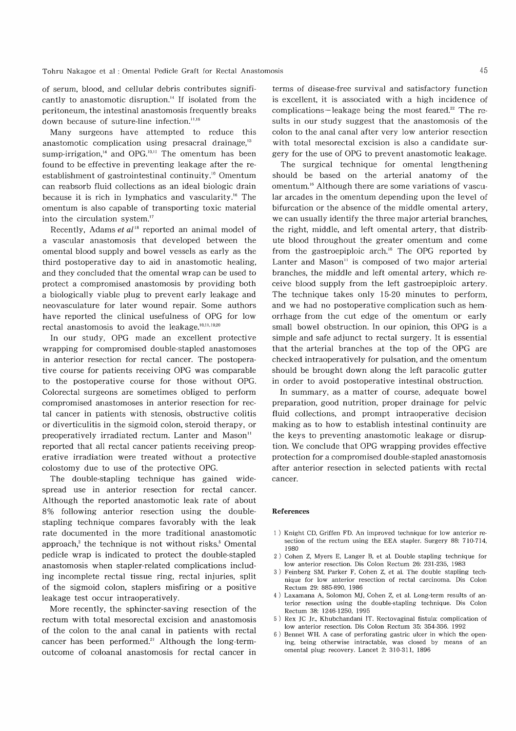of serum, blood, and cellular debris contributes significantly to anastomotic disruption." If isolated from the peritoneum, the intestinal anastomosis frequently breaks down because of suture-line infection.<sup>11,15</sup>

Many surgeons have attempted to reduce this anastomotic complication using presacral drainage,<sup>13</sup> sump-irrigation, $^{14}$  and OPG.<sup>10,11</sup> The omentum has been found to be effective in preventing leakage after the reestablishment of gastrointestinal continuity." Omentum can reabsorb fluid collections as an ideal biologic drain because it is rich in lymphatics and vascularity.<sup>16</sup> The omentum is also capable of transporting toxic material into the circulation system."

Recently, Adams et al'8 reported an animal model of a vascular anastomosis that developed between the omental blood supply and bowel vessels as early as the third postoperative day to aid in anastomotic healing, and they concluded that the omental wrap can be used to protect a compromised anastomosis by providing both a biologically viable plug to prevent early leakage and neovasculature for later wound repair. Some authors have reported the clinical usefulness of OPG for low rectal anastomosis to avoid the leakage.<sup>10,11,19,20</sup>

In our study, OPG made an excellent protective wrapping for compromised double-stapled anastomoses in anterior resection for rectal cancer. The postoperative course for patients receiving OPG was comparable to the postoperative course for those without OPG. Colorectal surgeons are sometimes obliged to perform compromised anastomoses in anterior resection for rectal cancer in patients with stenosis, obstructive colitis or diverticulitis in the sigmoid colon, steroid therapy, or preoperatively irradiated rectum. Lanter and Mason" reported that all rectal cancer patients receiving preoperative irradiation were treated without a protective colostomy due to use of the protective OPG.

The double-stapling technique has gained widespread use in anterior resection for rectal cancer. Although the reported anastomotic leak rate of about 8% following anterior resection using the doublestapling technique compares favorably with the leak rate documented in the more traditional anastomotic approach, $2$  the technique is not without risks.<sup>5</sup> Omental pedicle wrap is indicated to protect the double-stapled anastomosis when stapler-related complications including incomplete rectal tissue ring, rectal injuries, split of the sigmoid colon, staplers misfiring or a positive leakage test occur intraoperatively.

More recently, the sphincter-saving resection of the rectum with total mesorectal excision and anastomosis of the colon to the anal canal in patients with rectal cancer has been performed." Although the long-termoutcome of coloanal anastomosis for rectal cancer in

terms of disease-free survival and satisfactory function is excellent, it is associated with a high incidence of complications-leakage being the most feared.<sup>22</sup> The results in our study suggest that the anastomosis of the colon to the anal canal after very low anterior resection with total mesorectal excision is also a candidate surgery for the use of OPG to prevent anastomotic leakage.

The surgical technique for omental lengthening should be based on the arterial anatomy of the omentum.<sup>16</sup> Although there are some variations of vascular arcades in the omentum depending upon the level of bifurcation or the absence of the middle omental artery, we can usually identify the three major arterial branches, the right, middle, and left omental artery, that distribute blood throughout the greater omentum and come from the gastroepiploic arch." The OPG reported by Lanter and Mason" is composed of two major arterial branches, the middle and left omental artery, which receive blood supply from the left gastroepiploic artery. The technique takes only 15-20 minutes to perform, and we had no postoperative complication such as hemorrhage from the cut edge of the omentum or early small bowel obstruction. In our opinion, this OPG is a simple and safe adjunct to rectal surgery. It is essential that the arterial branches at the top of the OPG are checked intraoperatively for pulsation, and the omentum should be brought down along the left paracolic gutter in order to avoid postoperative intestinal obstruction.

In summary, as a matter of course, adequate bowel preparation, good nutrition, proper drainage for pelvic fluid collections, and prompt intraoperative decision making as to how to establish intestinal continuity are the keys to preventing anastomotic leakage or disruption. We conclude that OPG wrapping provides effective protection for a compromised double-stapled anastomosis after anterior resection in selected patients with rectal cancer.

#### References

- 1) Knight CD, Griffen FD. An improved technique for low anterior resection of the rectum using the EEA stapler. Surgery 88: 710-714, 1980
- 2) Cohen Z, Myers E, Langer B, et al. Double stapling technique for low anterior resection. Dis Colon Rectum 26: 231-235, 1983
- 3) Feinberg SM, Parker F, Cohen Z, et al. The double stapling technique for low anterior resection of rectal carcinoma. Dis Colon Rectum 29: 885-890, 1986
- 4) Laxamana A, Solomon MJ, Cohen Z, et al. Long-term results of anterior resection using the double-stapling technique. Dis Colon Rectum 38: 1246-1250, 1995
- 5) Rex JC Jr., Khubchandani IT. Rectovaginal fistula: complication of low anterior resection. Dis Colon Rectum 35: 354-356. 1992
- Bennet WH. A case of perforating gastric ulcer in which the opening, being otherwise intractable, was closed by means of an omental plug: recovery. Lancet 2: 310-311, 1896